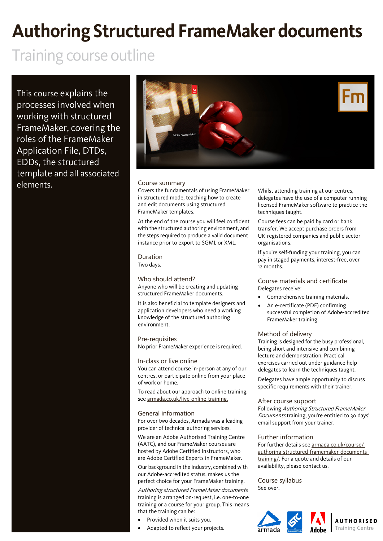## **Authoring Structured FrameMaker documents**

### Training course outline

This course explains the processes involved when working with structured FrameMaker, covering the roles of the FrameMaker Application File, DTDs, EDDs, the structured template and all associated elements. **Course summary** 



Covers the fundamentals of using FrameMaker in structured mode, teaching how to create and edit documents using structured FrameMaker templates.

At the end of the course you will feel confident with the structured authoring environment, and the steps required to produce a valid document instance prior to export to SGML or XML.

### Duration

Two days.

#### Who should attend?

Anyone who will be creating and updating structured FrameMaker documents.

It is also beneficial to template designers and application developers who need a working knowledge of the structured authoring environment.

Pre-requisites No prior FrameMaker experience is required.

#### In-class or live online

You can attend course in-person at any of our centres, or participate online from your place of work or home.

To read about our approach to online training, see [armada.co.uk/live-online-training.](https://www.armada.co.uk/live-online-training/)

#### General information

For over two decades, Armada was a leading provider of technical authoring services.

We are an Adobe Authorised Training Centre (AATC), and our FrameMaker courses are hosted by Adobe Certified Instructors, who are Adobe Certified Experts in FrameMaker.

Our background in the industry, combined with our Adobe-accredited status, makes us the perfect choice for your FrameMaker training.

Authoring structured FrameMaker documents training is arranged on-request, i.e. one-to-one training or a course for your group. This means that the training can be:

- Provided when it suits you.
- Adapted to reflect your projects.

Whilst attending training at our centres, delegates have the use of a computer running licensed FrameMaker software to practice the techniques taught.

Course fees can be paid by card or bank transfer. We accept purchase orders from UK-registered companies and public sector organisations.

If you're self-funding your training, you can pay in staged payments, interest-free, over 12 months.

Course materials and certificate Delegates receive:

- Comprehensive training materials.
- An e-certificate (PDF) confirming successful completion of Adobe-accredited FrameMaker training.

#### Method of delivery

Training is designed for the busy professional, being short and intensive and combining lecture and demonstration. Practical exercises carried out under guidance help delegates to learn the techniques taught.

Delegates have ample opportunity to discuss specific requirements with their trainer.

#### After course support

Following Authoring Structured FrameMaker Documents training, you're entitled to 30 days' email support from your trainer.

#### Further information

For further details se[e armada.co.uk/course/](https://www.armada.co.uk/course/authoring-structured-framemaker-documents-training/) [authoring-structured-framemaker-documents](https://www.armada.co.uk/course/authoring-structured-framemaker-documents-training/)[training/.](https://www.armada.co.uk/course/authoring-structured-framemaker-documents-training/) For a quote and details of our availability, please contact us.

Course syllabus See over.